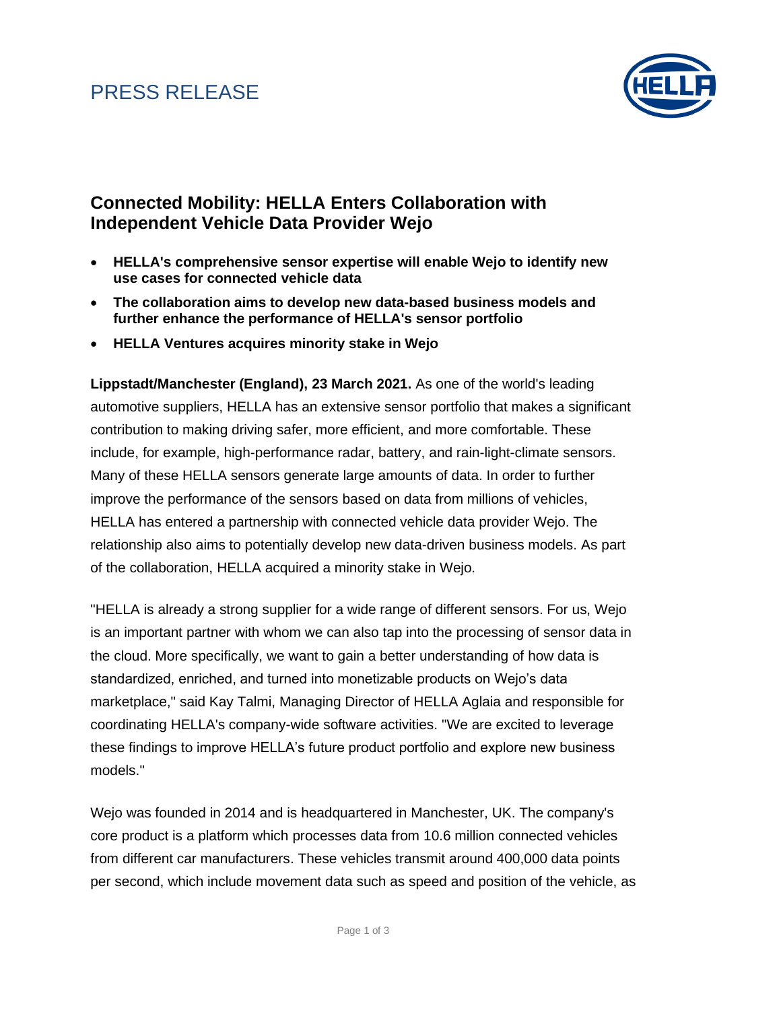### PRESS RELEASE



#### **Connected Mobility: HELLA Enters Collaboration with Independent Vehicle Data Provider Wejo**

- **HELLA's comprehensive sensor expertise will enable Wejo to identify new use cases for connected vehicle data**
- **The collaboration aims to develop new data-based business models and further enhance the performance of HELLA's sensor portfolio**
- **HELLA Ventures acquires minority stake in Wejo**

**Lippstadt/Manchester (England), 23 March 2021.** As one of the world's leading automotive suppliers, HELLA has an extensive sensor portfolio that makes a significant contribution to making driving safer, more efficient, and more comfortable. These include, for example, high-performance radar, battery, and rain-light-climate sensors. Many of these HELLA sensors generate large amounts of data. In order to further improve the performance of the sensors based on data from millions of vehicles, HELLA has entered a partnership with connected vehicle data provider Wejo. The relationship also aims to potentially develop new data-driven business models. As part of the collaboration, HELLA acquired a minority stake in Wejo.

"HELLA is already a strong supplier for a wide range of different sensors. For us, Wejo is an important partner with whom we can also tap into the processing of sensor data in the cloud. More specifically, we want to gain a better understanding of how data is standardized, enriched, and turned into monetizable products on Wejo's data marketplace," said Kay Talmi, Managing Director of HELLA Aglaia and responsible for coordinating HELLA's company-wide software activities. "We are excited to leverage these findings to improve HELLA's future product portfolio and explore new business models."

Wejo was founded in 2014 and is headquartered in Manchester, UK. The company's core product is a platform which processes data from 10.6 million connected vehicles from different car manufacturers. These vehicles transmit around 400,000 data points per second, which include movement data such as speed and position of the vehicle, as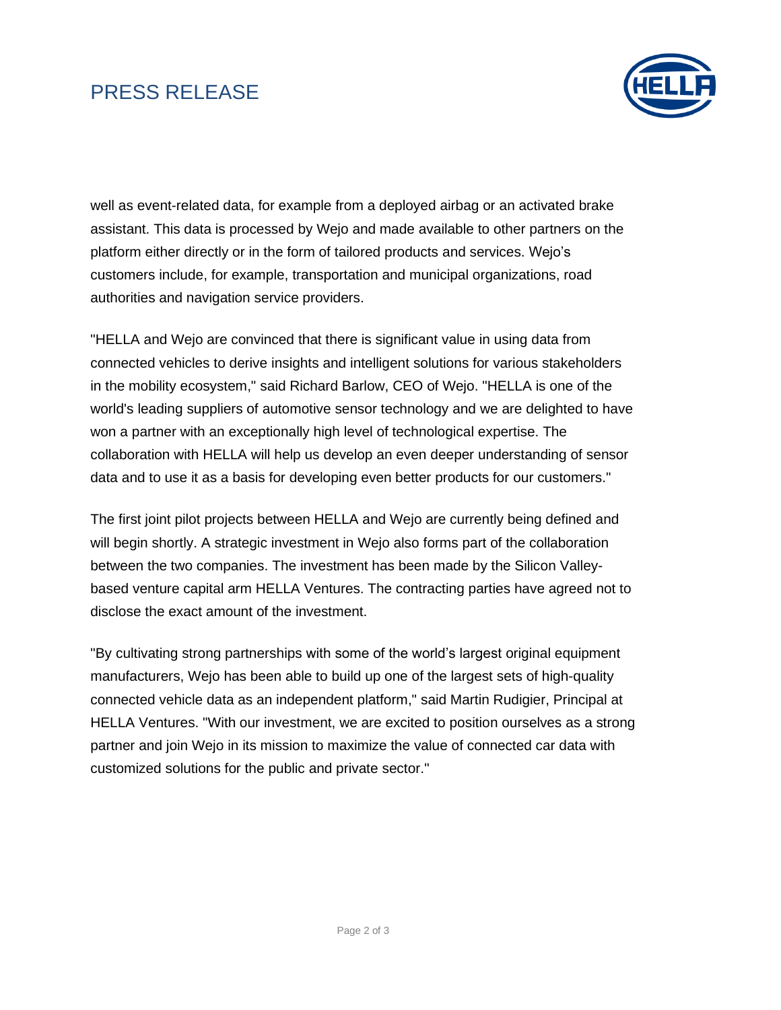# PRESS RELEASE



well as event-related data, for example from a deployed airbag or an activated brake assistant. This data is processed by Wejo and made available to other partners on the platform either directly or in the form of tailored products and services. Wejo's customers include, for example, transportation and municipal organizations, road authorities and navigation service providers.

"HELLA and Wejo are convinced that there is significant value in using data from connected vehicles to derive insights and intelligent solutions for various stakeholders in the mobility ecosystem," said Richard Barlow, CEO of Wejo. "HELLA is one of the world's leading suppliers of automotive sensor technology and we are delighted to have won a partner with an exceptionally high level of technological expertise. The collaboration with HELLA will help us develop an even deeper understanding of sensor data and to use it as a basis for developing even better products for our customers."

The first joint pilot projects between HELLA and Wejo are currently being defined and will begin shortly. A strategic investment in Wejo also forms part of the collaboration between the two companies. The investment has been made by the Silicon Valleybased venture capital arm HELLA Ventures. The contracting parties have agreed not to disclose the exact amount of the investment.

"By cultivating strong partnerships with some of the world's largest original equipment manufacturers, Wejo has been able to build up one of the largest sets of high-quality connected vehicle data as an independent platform," said Martin Rudigier, Principal at HELLA Ventures. "With our investment, we are excited to position ourselves as a strong partner and join Wejo in its mission to maximize the value of connected car data with customized solutions for the public and private sector."